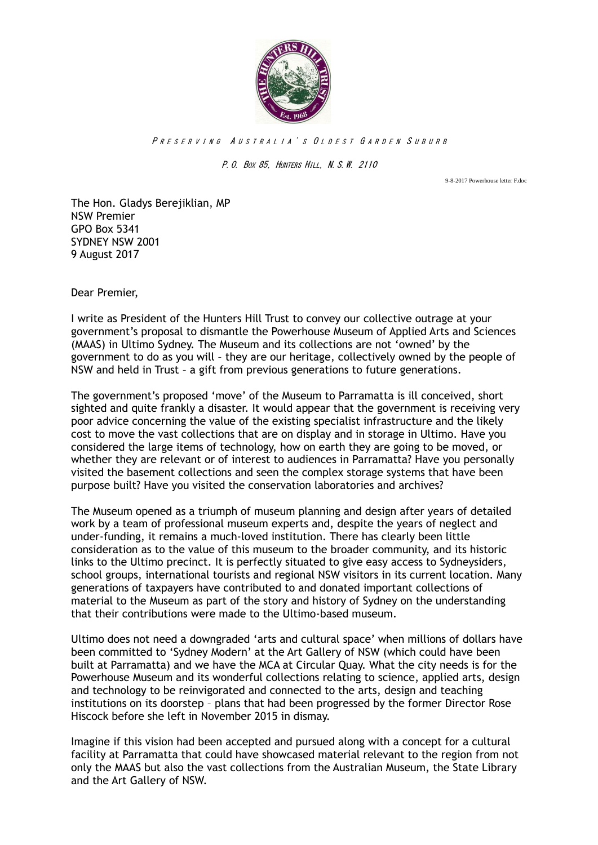

## P R E S E R V I N G A U S T R A L I A ' S O L D E S T G A R D E N S U B U R B

P.O. BOX 85, HUNTERS HILL, N.S.W. 2110

9-8-2017 Powerhouse letter F.doc

The Hon. Gladys Berejiklian, MP NSW Premier GPO Box 5341 SYDNEY NSW 2001 9 August 2017

Dear Premier,

I write as President of the Hunters Hill Trust to convey our collective outrage at your government's proposal to dismantle the Powerhouse Museum of Applied Arts and Sciences (MAAS) in Ultimo Sydney. The Museum and its collections are not 'owned' by the government to do as you will – they are our heritage, collectively owned by the people of NSW and held in Trust – a gift from previous generations to future generations.

The government's proposed 'move' of the Museum to Parramatta is ill conceived, short sighted and quite frankly a disaster. It would appear that the government is receiving very poor advice concerning the value of the existing specialist infrastructure and the likely cost to move the vast collections that are on display and in storage in Ultimo. Have you considered the large items of technology, how on earth they are going to be moved, or whether they are relevant or of interest to audiences in Parramatta? Have you personally visited the basement collections and seen the complex storage systems that have been purpose built? Have you visited the conservation laboratories and archives?

The Museum opened as a triumph of museum planning and design after years of detailed work by a team of professional museum experts and, despite the years of neglect and under-funding, it remains a much-loved institution. There has clearly been little consideration as to the value of this museum to the broader community, and its historic links to the Ultimo precinct. It is perfectly situated to give easy access to Sydneysiders, school groups, international tourists and regional NSW visitors in its current location. Many generations of taxpayers have contributed to and donated important collections of material to the Museum as part of the story and history of Sydney on the understanding that their contributions were made to the Ultimo-based museum.

Ultimo does not need a downgraded 'arts and cultural space' when millions of dollars have been committed to 'Sydney Modern' at the Art Gallery of NSW (which could have been built at Parramatta) and we have the MCA at Circular Quay. What the city needs is for the Powerhouse Museum and its wonderful collections relating to science, applied arts, design and technology to be reinvigorated and connected to the arts, design and teaching institutions on its doorstep – plans that had been progressed by the former Director Rose Hiscock before she left in November 2015 in dismay.

Imagine if this vision had been accepted and pursued along with a concept for a cultural facility at Parramatta that could have showcased material relevant to the region from not only the MAAS but also the vast collections from the Australian Museum, the State Library and the Art Gallery of NSW.